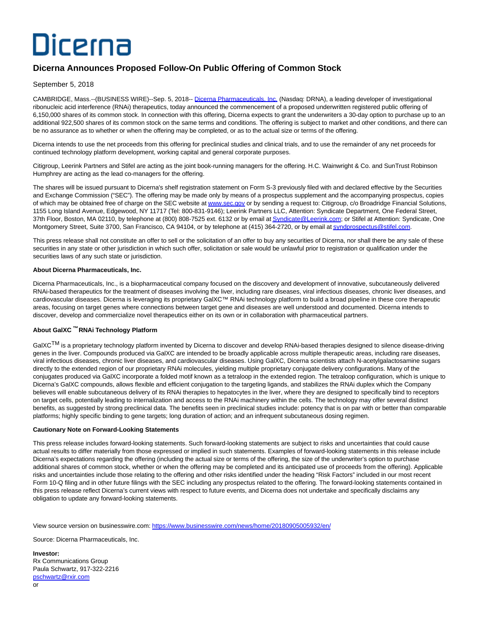# Dicerna

## **Dicerna Announces Proposed Follow-On Public Offering of Common Stock**

### September 5, 2018

CAMBRIDGE, Mass.--(BUSINESS WIRE)--Sep. 5, 2018-- [Dicerna Pharmaceuticals, Inc. \(](http://cts.businesswire.com/ct/CT?id=smartlink&url=https%3A%2F%2Fdicerna.com%2F&esheet=51862329&newsitemid=20180905005932&lan=en-US&anchor=Dicerna+Pharmaceuticals%2C+Inc.&index=1&md5=3cdc07ad32add6818eb9785de73cf217)Nasdaq: DRNA), a leading developer of investigational ribonucleic acid interference (RNAi) therapeutics, today announced the commencement of a proposed underwritten registered public offering of 6,150,000 shares of its common stock. In connection with this offering, Dicerna expects to grant the underwriters a 30-day option to purchase up to an additional 922,500 shares of its common stock on the same terms and conditions. The offering is subject to market and other conditions, and there can be no assurance as to whether or when the offering may be completed, or as to the actual size or terms of the offering.

Dicerna intends to use the net proceeds from this offering for preclinical studies and clinical trials, and to use the remainder of any net proceeds for continued technology platform development, working capital and general corporate purposes.

Citigroup, Leerink Partners and Stifel are acting as the joint book-running managers for the offering. H.C. Wainwright & Co. and SunTrust Robinson Humphrey are acting as the lead co-managers for the offering.

The shares will be issued pursuant to Dicerna's shelf registration statement on Form S-3 previously filed with and declared effective by the Securities and Exchange Commission ("SEC"). The offering may be made only by means of a prospectus supplement and the accompanying prospectus, copies of which may be obtained free of charge on the SEC website a[t www.sec.gov o](http://www.sec.gov/)r by sending a request to: Citigroup, c/o Broadridge Financial Solutions, 1155 Long Island Avenue, Edgewood, NY 11717 (Tel: 800-831-9146); Leerink Partners LLC, Attention: Syndicate Department, One Federal Street, 37th Floor, Boston, MA 02110, by telephone at (800) 808-7525 ext. 6132 or by email a[t Syndicate@Leerink.com;](mailto:Syndicate@Leerink.com) or Stifel at Attention: Syndicate, One Montgomery Street, Suite 3700, San Francisco, CA 94104, or by telephone at (415) 364-2720, or by email a[t syndprospectus@stifel.com.](mailto:syndprospectus@stifel.com)

This press release shall not constitute an offer to sell or the solicitation of an offer to buy any securities of Dicerna, nor shall there be any sale of these securities in any state or other jurisdiction in which such offer, solicitation or sale would be unlawful prior to registration or qualification under the securities laws of any such state or jurisdiction.

#### **About Dicerna Pharmaceuticals, Inc.**

Dicerna Pharmaceuticals, Inc., is a biopharmaceutical company focused on the discovery and development of innovative, subcutaneously delivered RNAi-based therapeutics for the treatment of diseases involving the liver, including rare diseases, viral infectious diseases, chronic liver diseases, and cardiovascular diseases. Dicerna is leveraging its proprietary GalXC™ RNAi technology platform to build a broad pipeline in these core therapeutic areas, focusing on target genes where connections between target gene and diseases are well understood and documented. Dicerna intends to discover, develop and commercialize novel therapeutics either on its own or in collaboration with pharmaceutical partners.

#### **About GalXC ™ RNAi Technology Platform**

GalXC<sup>TM</sup> is a proprietary technology platform invented by Dicerna to discover and develop RNAi-based therapies designed to silence disease-driving genes in the liver. Compounds produced via GalXC are intended to be broadly applicable across multiple therapeutic areas, including rare diseases, viral infectious diseases, chronic liver diseases, and cardiovascular diseases. Using GalXC, Dicerna scientists attach N-acetylgalactosamine sugars directly to the extended region of our proprietary RNAi molecules, yielding multiple proprietary conjugate delivery configurations. Many of the conjugates produced via GalXC incorporate a folded motif known as a tetraloop in the extended region. The tetraloop configuration, which is unique to Dicerna's GalXC compounds, allows flexible and efficient conjugation to the targeting ligands, and stabilizes the RNAi duplex which the Company believes will enable subcutaneous delivery of its RNAi therapies to hepatocytes in the liver, where they are designed to specifically bind to receptors on target cells, potentially leading to internalization and access to the RNAi machinery within the cells. The technology may offer several distinct benefits, as suggested by strong preclinical data. The benefits seen in preclinical studies include: potency that is on par with or better than comparable platforms; highly specific binding to gene targets; long duration of action; and an infrequent subcutaneous dosing regimen.

#### **Cautionary Note on Forward-Looking Statements**

This press release includes forward-looking statements. Such forward-looking statements are subject to risks and uncertainties that could cause actual results to differ materially from those expressed or implied in such statements. Examples of forward-looking statements in this release include Dicerna's expectations regarding the offering (including the actual size or terms of the offering, the size of the underwriter's option to purchase additional shares of common stock, whether or when the offering may be completed and its anticipated use of proceeds from the offering). Applicable risks and uncertainties include those relating to the offering and other risks identified under the heading "Risk Factors" included in our most recent Form 10-Q filing and in other future filings with the SEC including any prospectus related to the offering. The forward-looking statements contained in this press release reflect Dicerna's current views with respect to future events, and Dicerna does not undertake and specifically disclaims any obligation to update any forward-looking statements.

View source version on businesswire.com:<https://www.businesswire.com/news/home/20180905005932/en/>

Source: Dicerna Pharmaceuticals, Inc.

**Investor:** Rx Communications Group Paula Schwartz, 917-322-2216 [pschwartz@rxir.com](mailto:pschwartz@rxir.com) or